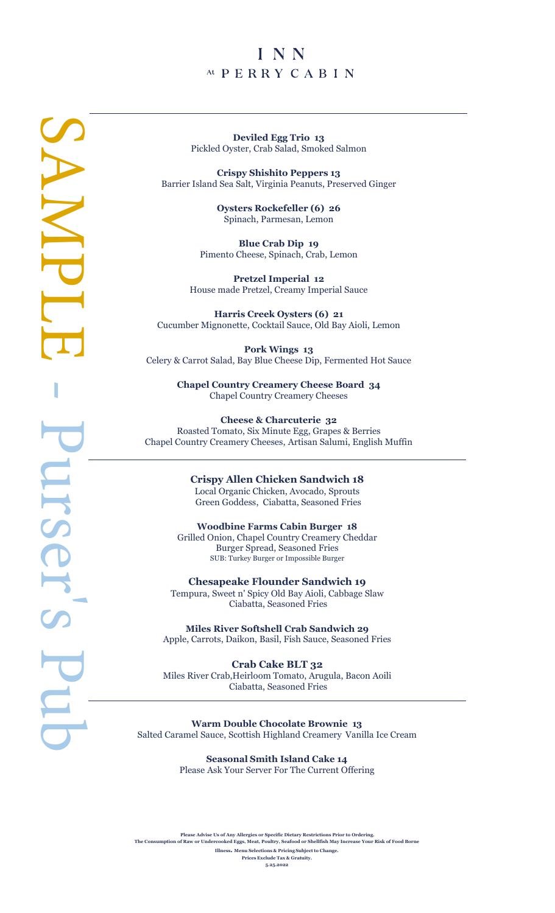# INN At PERRY CABIN

**Deviled Egg Trio 1 3** Pickled Oyster, Crab Salad, Smoked Salmon

**Crispy Shishito Peppers 1 3** Barrier Island Sea Salt, Virginia Peanuts, Preserved Ginger

> **Oysters Rockefeller (6) 2 6** Spinach, Parmesan, Lemon

**Blue Crab Dip 1 9** Pimento Cheese, Spinach, Crab, Lemon

**Pretzel Imperial 1 2** House made Pretzel, Creamy Imperial Sauce

**Harris Creek Oysters (6) 21** Cucumber Mignonette, Cocktail Sauce, Old Bay Aioli, Lemon

**Pork Wings 1 3** Celery & Carrot Salad, Bay Blue Cheese Dip, Fermented Hot Sauce

> **Chapel Country Creamery Cheese Board 34** Chapel Country Creamery Cheeses

**Cheese & Charcuterie 32** Roasted Tomato, Six Minute Egg, Grapes & Berries Chapel Country Creamery Cheeses, Artisan Salumi, English Muffin

> **Crispy Allen Chicken Sandwich 18** Local Organic Chicken, Avocado, Sprouts Green Goddess, Ciabatta, Seasoned Fries

**Woodbine Farms Cabin Burger 1 8** Grilled Onion, Chapel Country Creamery Cheddar Burger Spread, Seasoned Fries SUB: Turkey Burger or Impossible Burger

**Chesapeake Flounder Sandwich 19** Tempura, Sweet n' Spicy Old Bay Aioli, Cabbage Slaw Ciabatta, Seasoned Fries

**Miles River Softshell Crab Sandwich 29** Apple, Carrots, Daik on, Basil, Fish Sauce, Seasoned Fries

**Crab Cake BLT 32** Miles River Crab,Heirloom Tomato, Arugula, Bacon Aoili Ciabatta, Seasoned Fries

**Warm Double Chocolate Brownie 1 3** Salted Caramel Sauce, Scottish Highland Creamery Vanilla Ice Cream

> **Seasonal Smith Island Cake 14**  Please Ask Your Server For The Current Offering

**Please Advise Us of Any Allergies or Specific Dietary Restrictions Prior to Ordering. The Consumption of Raw or Undercooked Eggs, Meat, Poultry, Seafood or Shellfish May Increase Your Risk of Food Borne Illness . Menu Selections & Pricing Subject to Change.**

**Prices Exclude Tax & Gratuity.**

**5. 2 5.2022**